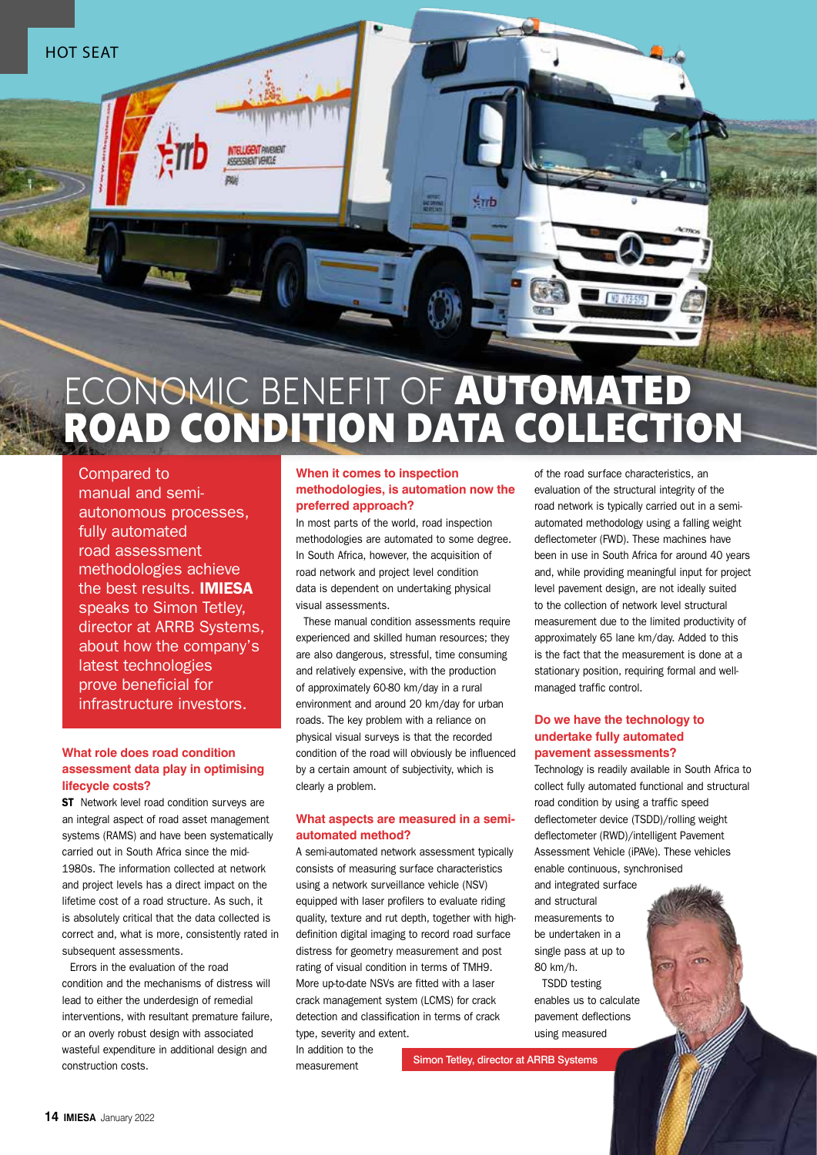

# ECONOMIC BENEFIT OF AUTOMATED ROAD CONDITION DATA COLLECTION

Compared to manual and semiautonomous processes, fully automated road assessment methodologies achieve the best results. **IMIESA**  speaks to Simon Tetley, director at ARRB Systems, about how the company's latest technologies prove beneficial for infrastructure investors.

## **What role does road condition assessment data play in optimising lifecycle costs?**

**ST** Network level road condition surveys are an integral aspect of road asset management systems (RAMS) and have been systematically carried out in South Africa since the mid-1980s. The information collected at network and project levels has a direct impact on the lifetime cost of a road structure. As such, it is absolutely critical that the data collected is correct and, what is more, consistently rated in subsequent assessments.

Errors in the evaluation of the road condition and the mechanisms of distress will lead to either the underdesign of remedial interventions, with resultant premature failure, or an overly robust design with associated wasteful expenditure in additional design and construction costs.

### **When it comes to inspection methodologies, is automation now the preferred approach?**

In most parts of the world, road inspection methodologies are automated to some degree. In South Africa, however, the acquisition of road network and project level condition data is dependent on undertaking physical visual assessments.

These manual condition assessments require experienced and skilled human resources; they are also dangerous, stressful, time consuming and relatively expensive, with the production of approximately 60-80 km/day in a rural environment and around 20 km/day for urban roads. The key problem with a reliance on physical visual surveys is that the recorded condition of the road will obviously be influenced by a certain amount of subjectivity, which is clearly a problem.

## **What aspects are measured in a semiautomated method?**

A semi-automated network assessment typically consists of measuring surface characteristics using a network surveillance vehicle (NSV) equipped with laser profilers to evaluate riding quality, texture and rut depth, together with highdefinition digital imaging to record road surface distress for geometry measurement and post rating of visual condition in terms of TMH9. More up-to-date NSVs are fitted with a laser crack management system (LCMS) for crack detection and classification in terms of crack type, severity and extent.

In addition to the measurement

of the road surface characteristics, an evaluation of the structural integrity of the road network is typically carried out in a semiautomated methodology using a falling weight deflectometer (FWD). These machines have been in use in South Africa for around 40 years and, while providing meaningful input for project level pavement design, are not ideally suited to the collection of network level structural measurement due to the limited productivity of approximately 65 lane km/day. Added to this is the fact that the measurement is done at a stationary position, requiring formal and wellmanaged traffic control.

#### **Do we have the technology to undertake fully automated pavement assessments?**

Technology is readily available in South Africa to collect fully automated functional and structural road condition by using a traffic speed deflectometer device (TSDD)/rolling weight deflectometer (RWD)/intelligent Pavement Assessment Vehicle (iPAVe). These vehicles enable continuous, synchronised

**POT** 

and integrated surface and structural measurements to be undertaken in a single pass at up to 80 km/h. TSDD testing

enables us to calculate pavement deflections using measured

Simon Tetley, director at ARRB Systems